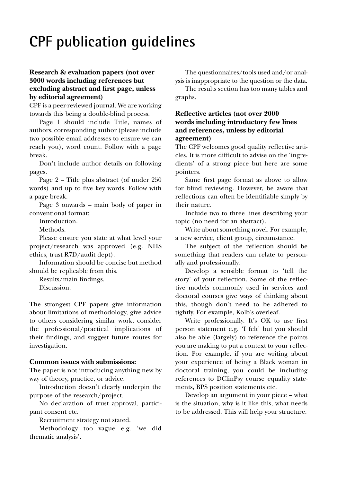# **CPF publication guidelines**

## **Research & evaluation papers (not over 3000 words including references but excluding abstract and first page, unless by editorial agreement)**

CPF is a peer-reviewed journal. We are working towards this being a double-blind process.

Page 1 should include Title, names of authors, corresponding author (please include two possible email addresses to ensure we can reach you), word count. Follow with a page break.

Don't include author details on following pages.

Page 2 – Title plus abstract (of under 250 words) and up to five key words. Follow with a page break.

Page 3 onwards – main body of paper in conventional format:

Introduction.

Methods.

Please ensure you state at what level your project/research was approved (e.g. NHS ethics, trust R7D/audit dept).

Information should be concise but method should be replicable from this.

Results/main findings.

Discussion.

The strongest CPF papers give information about limitations of methodology, give advice to others considering similar work, consider the professional/practical implications of their findings, and suggest future routes for investigation.

#### **Common issues with submissions:**

The paper is not introducing anything new by way of theory, practice, or advice.

Introduction doesn't clearly underpin the purpose of the research/project.

No declaration of trust approval, participant consent etc.

Recruitment strategy not stated.

Methodology too vague e.g. 'we did thematic analysis'.

The questionnaires/tools used and/or analysis is inappropriate to the question or the data.

The results section has too many tables and graphs.

### **Reflective articles (not over 2000 words including introductory few lines and references, unless by editorial agreement)**

The CPF welcomes good quality reflective articles. It is more difficult to advise on the 'ingredients' of a strong piece but here are some pointers.

Same first page format as above to allow for blind reviewing. However, be aware that reflections can often be identifiable simply by their nature.

Include two to three lines describing your topic (no need for an abstract).

Write about something novel. For example, a new service, client group, circumstance.

The subject of the reflection should be something that readers can relate to personally and professionally.

Develop a sensible format to 'tell the story' of your reflection. Some of the reflective models commonly used in services and doctoral courses give ways of thinking about this, though don't need to be adhered to tightly. For example, Kolb's overleaf.

Write professionally. It's OK to use first person statement e.g. 'I felt' but you should also be able (largely) to reference the points you are making to put a context to your reflection. For example, if you are writing about your experience of being a Black woman in doctoral training, you could be including references to DClinPsy course equality statements, BPS position statements etc.

Develop an argument in your piece – what is the situation, why is it like this, what needs to be addressed. This will help your structure.